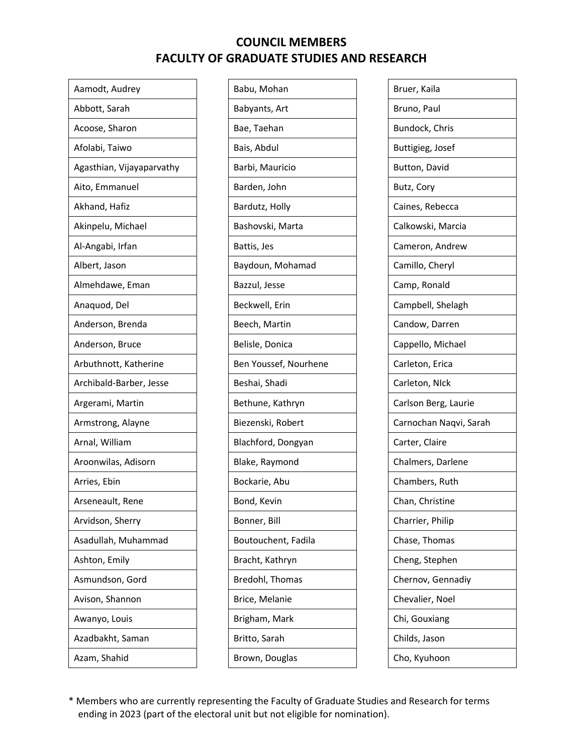| Aamodt, Audrey            |
|---------------------------|
| Abbott, Sarah             |
| Acoose, Sharon            |
| Afolabi, Taiwo            |
| Agasthian, Vijayaparvathy |
| Aito, Emmanuel            |
| Akhand, Hafiz             |
| Akinpelu, Michael         |
| Al-Angabi, Irfan          |
| Albert, Jason             |
| Almehdawe, Eman           |
| Anaquod, Del              |
| Anderson, Brenda          |
| Anderson, Bruce           |
| Arbuthnott, Katherine     |
| Archibald-Barber, Jesse   |
| Argerami, Martin          |
| Armstrong, Alayne         |
| Arnal, William            |
| Aroonwilas, Adisorn       |
| Arries, Ebin              |
| Arseneault, Rene          |
| Arvidson, Sherry          |
| Asadullah, Muhammad       |
| Ashton, Emily             |
| Asmundson, Gord           |
| Avison, Shannon           |
| Awanyo, Louis             |
| Azadbakht, Saman          |
| Azam, Shahid              |

| Babu, Mohan           |
|-----------------------|
| Babyants, Art         |
| Bae, Taehan           |
| Bais, Abdul           |
| Barbi, Mauricio       |
| Barden, John          |
| Bardutz, Holly        |
| Bashovski, Marta      |
| Battis, Jes           |
| Baydoun, Mohamad      |
| Bazzul, Jesse         |
| Beckwell, Erin        |
| Beech, Martin         |
| Belisle, Donica       |
| Ben Youssef, Nourhene |
| Beshai, Shadi         |
| Bethune, Kathryn      |
| Biezenski, Robert     |
| Blachford, Dongyan    |
| Blake, Raymond        |
| Bockarie, Abu         |
| Bond, Kevin           |
| Bonner, Bill          |
| Boutouchent, Fadila   |
| Bracht, Kathryn       |
| Bredohl, Thomas       |
| Brice, Melanie        |
| Brigham, Mark         |
| Britto, Sarah         |
| Brown, Douglas        |
|                       |

| Bruer, Kaila           |
|------------------------|
| Bruno, Paul            |
| Bundock, Chris         |
| Buttigieg, Josef       |
| Button, David          |
| Butz, Cory             |
| Caines, Rebecca        |
| Calkowski, Marcia      |
| Cameron, Andrew        |
| Camillo, Cheryl        |
| Camp, Ronald           |
| Campbell, Shelagh      |
| Candow, Darren         |
| Cappello, Michael      |
| Carleton, Erica        |
| Carleton, NIck         |
| Carlson Berg, Laurie   |
| Carnochan Naqvi, Sarah |
| Carter, Claire         |
| Chalmers, Darlene      |
| Chambers, Ruth         |
| Chan, Christine        |
| Charrier, Philip       |
| Chase, Thomas          |
| Cheng, Stephen         |
| Chernov, Gennadiy      |
| Chevalier, Noel        |
| Chi, Gouxiang          |
| Childs, Jason          |
| Cho, Kyuhoon           |
|                        |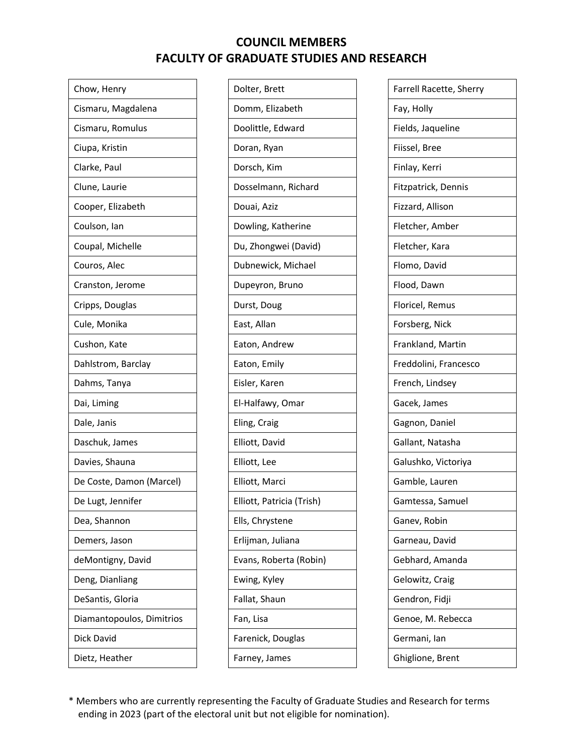| Chow, Henry               |
|---------------------------|
| Cismaru, Magdalena        |
| Cismaru, Romulus          |
| Ciupa, Kristin            |
| Clarke, Paul              |
| Clune, Laurie             |
| Cooper, Elizabeth         |
| Coulson, Ian              |
| Coupal, Michelle          |
| Couros, Alec              |
| Cranston, Jerome          |
| Cripps, Douglas           |
| Cule, Monika              |
| Cushon, Kate              |
| Dahlstrom, Barclay        |
| Dahms, Tanya              |
| Dai, Liming               |
| Dale, Janis               |
| Daschuk, James            |
| Davies, Shauna            |
| De Coste, Damon (Marcel)  |
| De Lugt, Jennifer         |
| Dea, Shannon              |
| Demers, Jason             |
| deMontigny, David         |
| Deng, Dianliang           |
| DeSantis, Gloria          |
| Diamantopoulos, Dimitrios |
| Dick David                |
| Dietz, Heather            |
|                           |

| Dolter, Brett             |
|---------------------------|
| Domm, Elizabeth           |
| Doolittle, Edward         |
| Doran, Ryan               |
| Dorsch, Kim               |
| Dosselmann, Richard       |
| Douai, Aziz               |
| Dowling, Katherine        |
| Du, Zhongwei (David)      |
| Dubnewick, Michael        |
| Dupeyron, Bruno           |
| Durst, Doug               |
| East, Allan               |
| Eaton, Andrew             |
| Eaton, Emily              |
| Eisler, Karen             |
| El-Halfawy, Omar          |
| Eling, Craig              |
| Elliott, David            |
| Elliott, Lee              |
| Elliott, Marci            |
| Elliott, Patricia (Trish) |
| Ells, Chrystene           |
| Erlijman, Juliana         |
| Evans, Roberta (Robin)    |
| Ewing, Kyley              |
| Fallat, Shaun             |
| Fan, Lisa                 |
| Farenick, Douglas         |
| Farney, James             |

| Farrell Racette, Sherry<br>Fay, Holly<br>Fields, Jaqueline<br>Fiissel, Bree<br>Finlay, Kerri<br>Fitzpatrick, Dennis<br>Fizzard, Allison<br>Fletcher, Amber<br>Fletcher, Kara<br>Flomo, David<br>Flood, Dawn<br>Floricel, Remus<br>Forsberg, Nick<br>Frankland, Martin<br>Freddolini, Francesco<br>French, Lindsey<br>Gacek, James<br>Gagnon, Daniel<br>Gallant, Natasha<br>Galushko, Victoriya |
|------------------------------------------------------------------------------------------------------------------------------------------------------------------------------------------------------------------------------------------------------------------------------------------------------------------------------------------------------------------------------------------------|
|                                                                                                                                                                                                                                                                                                                                                                                                |
|                                                                                                                                                                                                                                                                                                                                                                                                |
|                                                                                                                                                                                                                                                                                                                                                                                                |
|                                                                                                                                                                                                                                                                                                                                                                                                |
|                                                                                                                                                                                                                                                                                                                                                                                                |
|                                                                                                                                                                                                                                                                                                                                                                                                |
|                                                                                                                                                                                                                                                                                                                                                                                                |
|                                                                                                                                                                                                                                                                                                                                                                                                |
|                                                                                                                                                                                                                                                                                                                                                                                                |
|                                                                                                                                                                                                                                                                                                                                                                                                |
|                                                                                                                                                                                                                                                                                                                                                                                                |
|                                                                                                                                                                                                                                                                                                                                                                                                |
|                                                                                                                                                                                                                                                                                                                                                                                                |
|                                                                                                                                                                                                                                                                                                                                                                                                |
|                                                                                                                                                                                                                                                                                                                                                                                                |
|                                                                                                                                                                                                                                                                                                                                                                                                |
|                                                                                                                                                                                                                                                                                                                                                                                                |
|                                                                                                                                                                                                                                                                                                                                                                                                |
|                                                                                                                                                                                                                                                                                                                                                                                                |
|                                                                                                                                                                                                                                                                                                                                                                                                |
| Gamble, Lauren                                                                                                                                                                                                                                                                                                                                                                                 |
| Gamtessa, Samuel                                                                                                                                                                                                                                                                                                                                                                               |
|                                                                                                                                                                                                                                                                                                                                                                                                |
| Ganev, Robin                                                                                                                                                                                                                                                                                                                                                                                   |
| Garneau, David                                                                                                                                                                                                                                                                                                                                                                                 |
| Gebhard, Amanda                                                                                                                                                                                                                                                                                                                                                                                |
| Gelowitz, Craig                                                                                                                                                                                                                                                                                                                                                                                |
| Gendron, Fidji                                                                                                                                                                                                                                                                                                                                                                                 |
| Genoe, M. Rebecca                                                                                                                                                                                                                                                                                                                                                                              |
| Germani, Ian                                                                                                                                                                                                                                                                                                                                                                                   |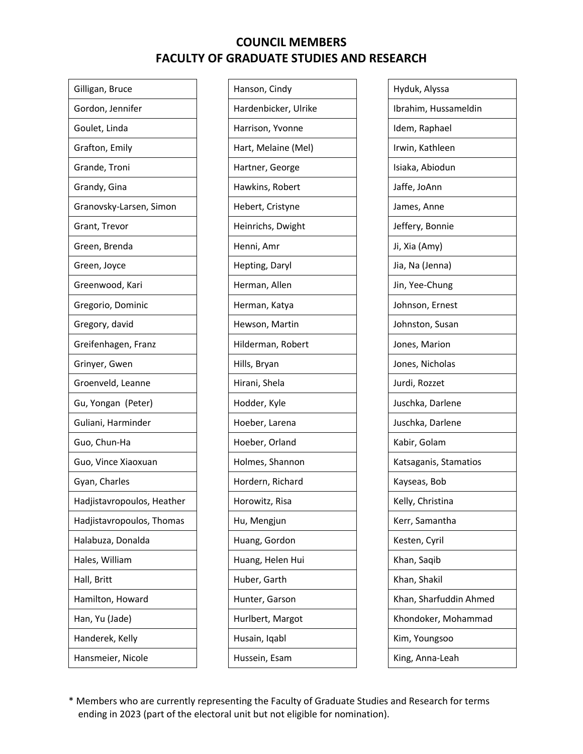| Gilligan, Bruce            |
|----------------------------|
| Gordon, Jennifer           |
| Goulet, Linda              |
| Grafton, Emily             |
| Grande, Troni              |
| Grandy, Gina               |
| Granovsky-Larsen, Simon    |
| Grant, Trevor              |
| Green, Brenda              |
| Green, Joyce               |
| Greenwood, Kari            |
| Gregorio, Dominic          |
| Gregory, david             |
| Greifenhagen, Franz        |
| Grinyer, Gwen              |
| Groenveld, Leanne          |
| Gu, Yongan (Peter)         |
| Guliani, Harminder         |
| Guo, Chun-Ha               |
| Guo, Vince Xiaoxuan        |
| Gyan, Charles              |
| Hadjistavropoulos, Heather |
| Hadjistavropoulos, Thomas  |
| Halabuza, Donalda          |
| Hales, William             |
| Hall, Britt                |
| Hamilton, Howard           |
| Han, Yu (Jade)             |
| Handerek, Kelly            |
| Hansmeier, Nicole          |

| Hanson, Cindy        |
|----------------------|
| Hardenbicker, Ulrike |
| Harrison, Yvonne     |
| Hart, Melaine (Mel)  |
| Hartner, George      |
| Hawkins, Robert      |
| Hebert, Cristyne     |
| Heinrichs, Dwight    |
| Henni, Amr           |
| Hepting, Daryl       |
| Herman, Allen        |
| Herman, Katya        |
| Hewson, Martin       |
| Hilderman, Robert    |
| Hills, Bryan         |
| Hirani, Shela        |
| Hodder, Kyle         |
| Hoeber, Larena       |
| Hoeber, Orland       |
| Holmes, Shannon      |
| Hordern, Richard     |
| Horowitz, Risa       |
| Hu, Mengjun          |
| Huang, Gordon        |
| Huang, Helen Hui     |
| Huber, Garth         |
| Hunter, Garson       |
| Hurlbert, Margot     |
| Husain, Iqabl        |
| Hussein, Esam        |

| Hyduk, Alyssa          |
|------------------------|
| Ibrahim, Hussameldin   |
| Idem, Raphael          |
| Irwin, Kathleen        |
| Isiaka, Abiodun        |
| Jaffe, JoAnn           |
| James, Anne            |
| Jeffery, Bonnie        |
| Ji, Xia (Amy)          |
| Jia, Na (Jenna)        |
| Jin, Yee-Chung         |
| Johnson, Ernest        |
| Johnston, Susan        |
| Jones, Marion          |
| Jones, Nicholas        |
| Jurdi, Rozzet          |
| Juschka, Darlene       |
| Juschka, Darlene       |
| Kabir, Golam           |
| Katsaganis, Stamatios  |
| Kayseas, Bob           |
| Kelly, Christina       |
| Kerr, Samantha         |
| Kesten, Cyril          |
| Khan, Saqib            |
| Khan, Shakil           |
| Khan, Sharfuddin Ahmed |
| Khondoker, Mohammad    |
| Kim, Youngsoo          |
| King, Anna-Leah        |
|                        |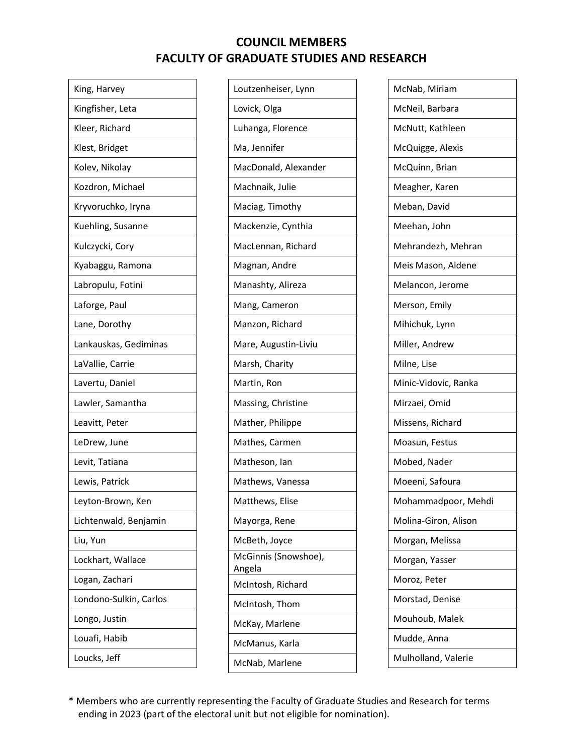| King, Harvey           |
|------------------------|
| Kingfisher, Leta       |
| Kleer, Richard         |
| Klest, Bridget         |
| Kolev, Nikolay         |
| Kozdron, Michael       |
| Kryvoruchko, Iryna     |
| Kuehling, Susanne      |
| Kulczycki, Cory        |
| Kyabaggu, Ramona       |
| Labropulu, Fotini      |
| Laforge, Paul          |
| Lane, Dorothy          |
| Lankauskas, Gediminas  |
| LaVallie, Carrie       |
| Lavertu, Daniel        |
| Lawler, Samantha       |
| Leavitt, Peter         |
| LeDrew, June           |
| Levit, Tatiana         |
| Lewis, Patrick         |
| Leyton-Brown, Ken      |
| Lichtenwald, Benjamin  |
| Liu, Yun               |
| Lockhart, Wallace      |
| Logan, Zachari         |
| Londono-Sulkin, Carlos |
| Longo, Justin          |
| Louafi, Habib          |
| Loucks, Jeff           |
|                        |

| Loutzenheiser, Lynn<br>Lovick, Olga<br>Luhanga, Florence<br>Ma, Jennifer<br>MacDonald, Alexander<br>Machnaik, Julie<br>Maciag, Timothy<br>Mackenzie, Cynthia<br>MacLennan, Richard<br>Magnan, Andre<br>Manashty, Alireza<br>Mang, Cameron<br>Manzon, Richard<br>Mare, Augustin-Liviu<br>Marsh, Charity<br>Martin, Ron<br>Massing, Christine<br>Mather, Philippe<br>Mathes, Carmen<br>Matheson, Ian<br>Mathews, Vanessa<br>Matthews, Elise<br>Mayorga, Rene<br>McBeth, Joyce<br>McGinnis (Snowshoe),<br>Angela<br>McIntosh, Richard<br>McIntosh, Thom<br>McKay, Marlene<br>McManus, Karla<br>McNab, Marlene |  |
|------------------------------------------------------------------------------------------------------------------------------------------------------------------------------------------------------------------------------------------------------------------------------------------------------------------------------------------------------------------------------------------------------------------------------------------------------------------------------------------------------------------------------------------------------------------------------------------------------------|--|
|                                                                                                                                                                                                                                                                                                                                                                                                                                                                                                                                                                                                            |  |
|                                                                                                                                                                                                                                                                                                                                                                                                                                                                                                                                                                                                            |  |
|                                                                                                                                                                                                                                                                                                                                                                                                                                                                                                                                                                                                            |  |
|                                                                                                                                                                                                                                                                                                                                                                                                                                                                                                                                                                                                            |  |
|                                                                                                                                                                                                                                                                                                                                                                                                                                                                                                                                                                                                            |  |
|                                                                                                                                                                                                                                                                                                                                                                                                                                                                                                                                                                                                            |  |
|                                                                                                                                                                                                                                                                                                                                                                                                                                                                                                                                                                                                            |  |
|                                                                                                                                                                                                                                                                                                                                                                                                                                                                                                                                                                                                            |  |
|                                                                                                                                                                                                                                                                                                                                                                                                                                                                                                                                                                                                            |  |
|                                                                                                                                                                                                                                                                                                                                                                                                                                                                                                                                                                                                            |  |
|                                                                                                                                                                                                                                                                                                                                                                                                                                                                                                                                                                                                            |  |
|                                                                                                                                                                                                                                                                                                                                                                                                                                                                                                                                                                                                            |  |
|                                                                                                                                                                                                                                                                                                                                                                                                                                                                                                                                                                                                            |  |
|                                                                                                                                                                                                                                                                                                                                                                                                                                                                                                                                                                                                            |  |
|                                                                                                                                                                                                                                                                                                                                                                                                                                                                                                                                                                                                            |  |
|                                                                                                                                                                                                                                                                                                                                                                                                                                                                                                                                                                                                            |  |
|                                                                                                                                                                                                                                                                                                                                                                                                                                                                                                                                                                                                            |  |
|                                                                                                                                                                                                                                                                                                                                                                                                                                                                                                                                                                                                            |  |
|                                                                                                                                                                                                                                                                                                                                                                                                                                                                                                                                                                                                            |  |
|                                                                                                                                                                                                                                                                                                                                                                                                                                                                                                                                                                                                            |  |
|                                                                                                                                                                                                                                                                                                                                                                                                                                                                                                                                                                                                            |  |
|                                                                                                                                                                                                                                                                                                                                                                                                                                                                                                                                                                                                            |  |
|                                                                                                                                                                                                                                                                                                                                                                                                                                                                                                                                                                                                            |  |
|                                                                                                                                                                                                                                                                                                                                                                                                                                                                                                                                                                                                            |  |
|                                                                                                                                                                                                                                                                                                                                                                                                                                                                                                                                                                                                            |  |
|                                                                                                                                                                                                                                                                                                                                                                                                                                                                                                                                                                                                            |  |
|                                                                                                                                                                                                                                                                                                                                                                                                                                                                                                                                                                                                            |  |
|                                                                                                                                                                                                                                                                                                                                                                                                                                                                                                                                                                                                            |  |
|                                                                                                                                                                                                                                                                                                                                                                                                                                                                                                                                                                                                            |  |
|                                                                                                                                                                                                                                                                                                                                                                                                                                                                                                                                                                                                            |  |

| McNab, Miriam        |
|----------------------|
| McNeil, Barbara      |
| McNutt, Kathleen     |
| McQuigge, Alexis     |
| McQuinn, Brian       |
| Meagher, Karen       |
| Meban, David         |
| Meehan, John         |
| Mehrandezh, Mehran   |
| Meis Mason, Aldene   |
| Melancon, Jerome     |
| Merson, Emily        |
| Mihichuk, Lynn       |
| Miller, Andrew       |
| Milne, Lise          |
|                      |
| Minic-Vidovic, Ranka |
| Mirzaei, Omid        |
| Missens, Richard     |
| Moasun, Festus       |
| Mobed, Nader         |
| Moeeni, Safoura      |
| Mohammadpoor, Mehdi  |
| Molina-Giron, Alison |
| Morgan, Melissa      |
| Morgan, Yasser       |
| Moroz, Peter         |
| Morstad, Denise      |
| Mouhoub, Malek       |
| Mudde, Anna          |
| Mulholland, Valerie  |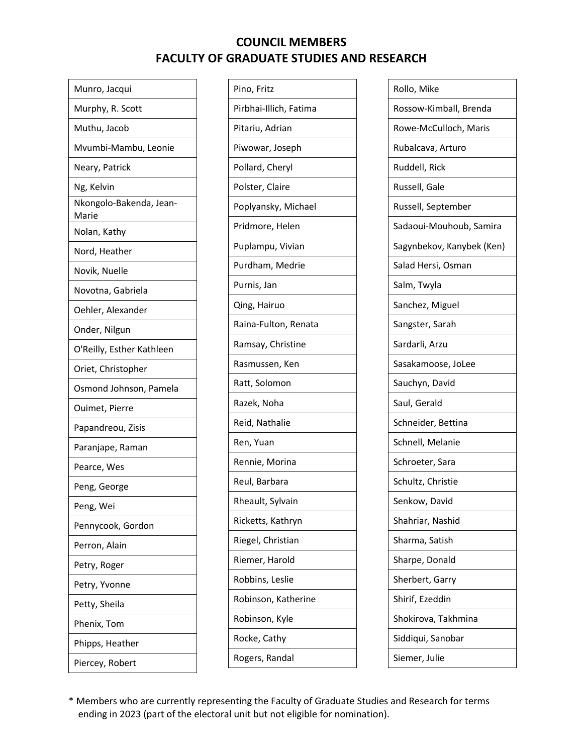| Munro, Jacqui                    |
|----------------------------------|
| Murphy, R. Scott                 |
| Muthu, Jacob                     |
| Mvumbi-Mambu, Leonie             |
| Neary, Patrick                   |
| Ng, Kelvin                       |
| Nkongolo-Bakenda, Jean-<br>Marie |
| Nolan, Kathy                     |
| Nord, Heather                    |
| Novik, Nuelle                    |
| Novotna, Gabriela                |
| Oehler, Alexander                |
| Onder, Nilgun                    |
| O'Reilly, Esther Kathleen        |
| Oriet, Christopher               |
| Osmond Johnson, Pamela           |
| Ouimet, Pierre                   |
| Papandreou, Zisis                |
| Paranjape, Raman                 |
| Pearce, Wes                      |
| Peng, George                     |
| Peng, Wei                        |
| Pennycook, Gordon                |
| Perron, Alain                    |
| Petry, Roger                     |
| Petry, Yvonne                    |
| Petty, Sheila                    |
| Phenix, Tom                      |
| Phipps, Heather                  |
| Piercey, Robert                  |

| Pino, Fritz            |
|------------------------|
| Pirbhai-Illich, Fatima |
| Pitariu, Adrian        |
| Piwowar, Joseph        |
| Pollard, Cheryl        |
| Polster, Claire        |
| Poplyansky, Michael    |
| Pridmore, Helen        |
| Puplampu, Vivian       |
| Purdham, Medrie        |
| Purnis, Jan            |
| Qing, Hairuo           |
| Raina-Fulton, Renata   |
| Ramsay, Christine      |
|                        |
| Rasmussen, Ken         |
| Ratt, Solomon          |
| Razek, Noha            |
| Reid, Nathalie         |
| Ren, Yuan              |
| Rennie, Morina         |
| Reul, Barbara          |
| Rheault, Sylvain       |
| Ricketts, Kathryn      |
| Riegel, Christian      |
| Riemer, Harold         |
| Robbins, Leslie        |
| Robinson, Katherine    |
| Robinson, Kyle         |
| Rocke, Cathy           |

| Rollo, Mike               |
|---------------------------|
| Rossow-Kimball, Brenda    |
| Rowe-McCulloch, Maris     |
| Rubalcava, Arturo         |
| Ruddell, Rick             |
| Russell, Gale             |
| Russell, September        |
| Sadaoui-Mouhoub, Samira   |
| Sagynbekov, Kanybek (Ken) |
| Salad Hersi, Osman        |
| Salm, Twyla               |
| Sanchez, Miguel           |
| Sangster, Sarah           |
| Sardarli, Arzu            |
| Sasakamoose, JoLee        |
| Sauchyn, David            |
| Saul, Gerald              |
| Schneider, Bettina        |
| Schnell, Melanie          |
| Schroeter, Sara           |
| Schultz, Christie         |
| Senkow, David             |
| Shahriar, Nashid          |
| Sharma, Satish            |
| Sharpe, Donald            |
| Sherbert, Garry           |
| Shirif, Ezeddin           |
| Shokirova, Takhmina       |
| Siddiqui, Sanobar         |
| Siemer, Julie             |
|                           |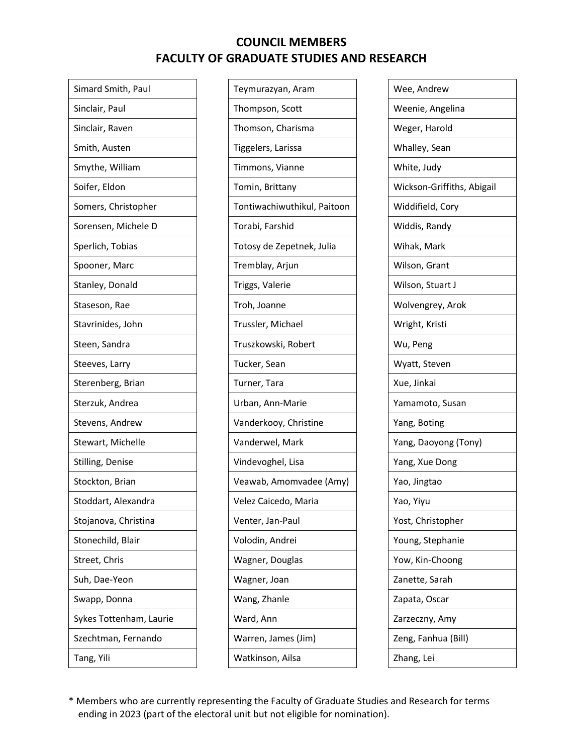| Teymurazyan, Aram           |
|-----------------------------|
| Thompson, Scott             |
| Thomson, Charisma           |
| Tiggelers, Larissa          |
| Timmons, Vianne             |
| Tomin, Brittany             |
| Tontiwachiwuthikul, Paitoon |
| Torabi, Farshid             |
| Totosy de Zepetnek, Julia   |
| Tremblay, Arjun             |
| Triggs, Valerie             |
| Troh, Joanne                |
| Trussler, Michael           |
| Truszkowski, Robert         |
| Tucker, Sean                |
| Turner, Tara                |
| Urban, Ann-Marie            |
| Vanderkooy, Christine       |
| Vanderwel, Mark             |
| Vindevoghel, Lisa           |
| Veawab, Amomvadee (Amy)     |
| Velez Caicedo, Maria        |
| Venter, Jan-Paul            |
| Volodin, Andrei             |
| Wagner, Douglas             |
| Wagner, Joan                |
| Wang, Zhanle                |
| Ward, Ann                   |
| Warren, James (Jim)         |
| Watkinson, Ailsa            |
|                             |

| Wee, Andrew                |
|----------------------------|
| Weenie, Angelina           |
| Weger, Harold              |
| Whalley, Sean              |
| White, Judy                |
| Wickson-Griffiths, Abigail |
| Widdifield, Cory           |
| Widdis, Randy              |
| Wihak, Mark                |
| Wilson, Grant              |
| Wilson, Stuart J           |
| Wolvengrey, Arok           |
| Wright, Kristi             |
| Wu, Peng                   |
| Wyatt, Steven              |
|                            |
| Xue, Jinkai                |
| Yamamoto, Susan            |
| Yang, Boting               |
| Yang, Daoyong (Tony)       |
| Yang, Xue Dong             |
| Yao, Jingtao               |
| Yao, Yiyu                  |
| Yost, Christopher          |
| Young, Stephanie           |
| Yow, Kin-Choong            |
| Zanette, Sarah             |
| Zapata, Oscar              |
| Zarzeczny, Amy             |
| Zeng, Fanhua (Bill)        |
| Zhang, Lei                 |